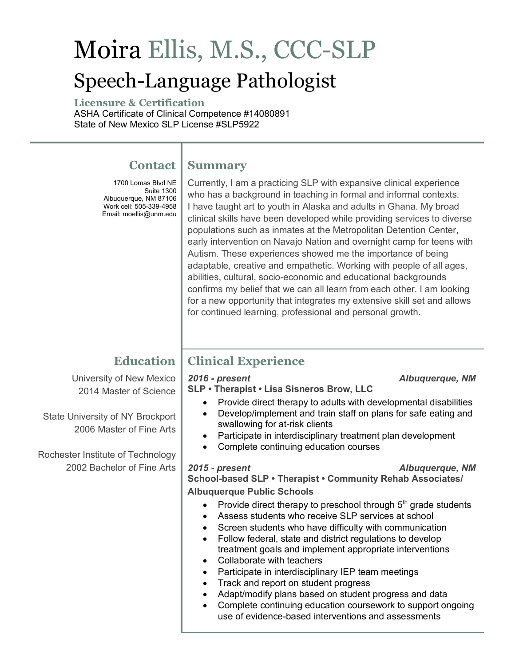# Moira Ellis, M.S., CCC-SLP Speech-Language Pathologist

**Summary**

**Licensure & Certification** ASHA Certificate of Clinical Competence #14080891 State of New Mexico SLP License #SLP5922

# **Contact**

1700 Lomas Blvd NE Albuquerque, NM 87104 Albuquerque, NM 87106 Work cell: 505-339-4958 Email: moellis@unm.edu Suite 1300

# Currently, I am a practicing SLP with expansive clinical experience who has a background in teaching in formal and informal contexts.

I have taught art to youth in Alaska and adults in Ghana. My broad clinical skills have been developed while providing services to diverse populations such as inmates at the Metropolitan Detention Center, early intervention on Navajo Nation and overnight camp for teens with Autism. These experiences showed me the importance of being adaptable, creative and empathetic. Working with people of all ages, abilities, cultural, socio-economic and educational backgrounds confirms my belief that we can all learn from each other. I am looking for a new opportunity that integrates my extensive skill set and allows for continued learning, professional and personal growth.

# **Education**

University of New Mexico 2014 Master of Science

State University of NY Brockport 2006 Master of Fine Arts

Rochester Institute of Technology 2002 Bachelor of Fine Arts

# **Clinical Experience**

# *2016 - present Albuquerque, NM*

**SLP • Therapist • Lisa Sisneros Brow, LLC** 

- Provide direct therapy to adults with developmental disabilities
- Develop/implement and train staff on plans for safe eating and swallowing for at-risk clients
- Participate in interdisciplinary treatment plan development
- Complete continuing education courses

# *2015 - present Albuquerque, NM*

**School-based SLP • Therapist • Community Rehab Associates/ Albuquerque Public Schools**

- Provide direct therapy to preschool through  $5<sup>th</sup>$  grade students
- Assess students who receive SLP services at school
- Screen students who have difficulty with communication
- Follow federal, state and district regulations to develop treatment goals and implement appropriate interventions
- Collaborate with teachers
- Participate in interdisciplinary IEP team meetings
- Track and report on student progress
- Adapt/modify plans based on student progress and data
- Complete continuing education coursework to support ongoing use of evidence-based interventions and assessments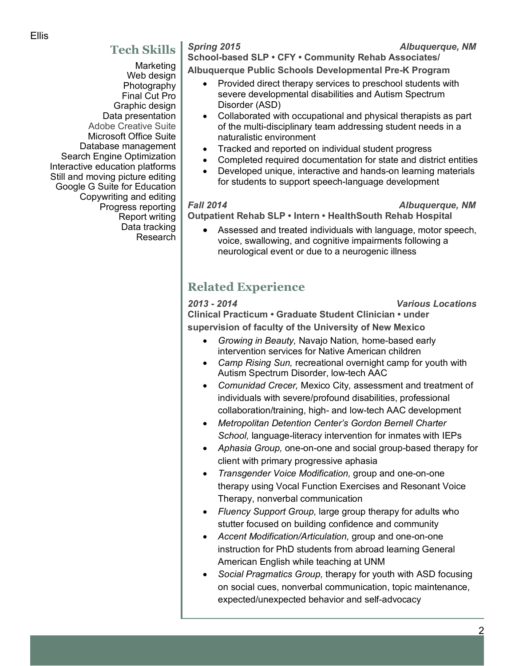# **Tech Skills**

 Marketing Web design Photography Final Cut Pro Graphic design Data presentation Adobe Creative Suite Microsoft Office Suite Database management Search Engine Optimization Interactive education platforms Still and moving picture editing Google G Suite for Education Copywriting and editing Progress reporting Report writing Data tracking Research

*Spring 2015 Albuquerque, NM*

**School-based SLP • CFY • Community Rehab Associates/ Albuquerque Public Schools Developmental Pre-K Program**

- Provided direct therapy services to preschool students with severe developmental disabilities and Autism Spectrum Disorder (ASD)
- Collaborated with occupational and physical therapists as part of the multi-disciplinary team addressing student needs in a naturalistic environment
- Tracked and reported on individual student progress
- Completed required documentation for state and district entities
- Developed unique, interactive and hands-on learning materials for students to support speech-language development

### *Fall 2014 Albuquerque, NM*

**Outpatient Rehab SLP • Intern • HealthSouth Rehab Hospital**

• Assessed and treated individuals with language, motor speech, voice, swallowing, and cognitive impairments following a neurological event or due to a neurogenic illness

# **Related Experience**

*2013 - 2014 Various Locations*

**Clinical Practicum • Graduate Student Clinician • under supervision of faculty of the University of New Mexico**

- *Growing in Beauty,* Navajo Nation*,* home-based early intervention services for Native American children
- *Camp Rising Sun,* recreational overnight camp for youth with Autism Spectrum Disorder, low-tech AAC
- *Comunidad Crecer,* Mexico City*,* assessment and treatment of individuals with severe/profound disabilities, professional collaboration/training, high- and low-tech AAC development
- *Metropolitan Detention Center's Gordon Bernell Charter School,* language-literacy intervention for inmates with IEPs
- *Aphasia Group,* one-on-one and social group-based therapy for client with primary progressive aphasia
- *Transgender Voice Modification,* group and one-on-one therapy using Vocal Function Exercises and Resonant Voice Therapy, nonverbal communication
- *Fluency Support Group,* large group therapy for adults who stutter focused on building confidence and community
- *Accent Modification/Articulation,* group and one-on-one instruction for PhD students from abroad learning General American English while teaching at UNM
- *Social Pragmatics Group,* therapy for youth with ASD focusing on social cues, nonverbal communication, topic maintenance, expected/unexpected behavior and self-advocacy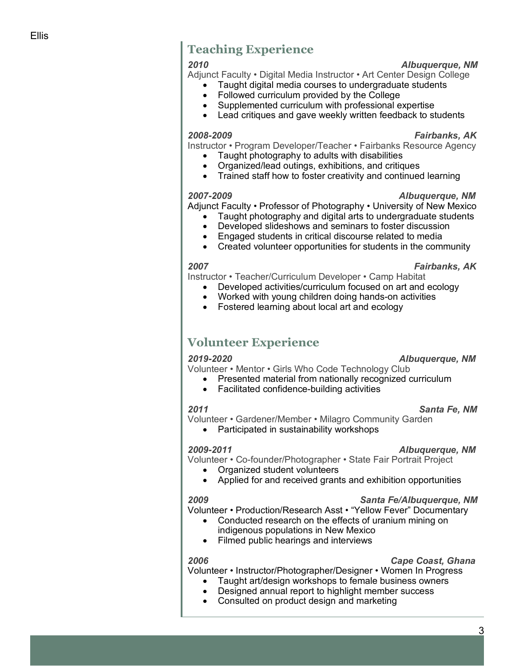# **Teaching Experience**

# *2010 Albuquerque, NM*

Adjunct Faculty • Digital Media Instructor • Art Center Design College

- Taught digital media courses to undergraduate students
- Followed curriculum provided by the College
- Supplemented curriculum with professional expertise
- Lead critiques and gave weekly written feedback to students

### *2008-2009 Fairbanks, AK*

Instructor • Program Developer/Teacher • Fairbanks Resource Agency

- Taught photography to adults with disabilities
- Organized/lead outings, exhibitions, and critiques
- Trained staff how to foster creativity and continued learning

Adjunct Faculty • Professor of Photography • University of New Mexico

- Taught photography and digital arts to undergraduate students
- Developed slideshows and seminars to foster discussion
- Engaged students in critical discourse related to media
- Created volunteer opportunities for students in the community

### *2007 Fairbanks, AK*

Instructor • Teacher/Curriculum Developer • Camp Habitat

- Developed activities/curriculum focused on art and ecology
- Worked with young children doing hands-on activities
- Fostered learning about local art and ecology

# **Volunteer Experience**

# *2019-2020 Albuquerque, NM*

- Volunteer Mentor Girls Who Code Technology Club
	- Presented material from nationally recognized curriculum
	- Facilitated confidence-building activities

# *2011 Santa Fe, NM*

Volunteer • Gardener/Member • Milagro Community Garden

• Participated in sustainability workshops

# *2009-2011 Albuquerque, NM*

Volunteer • Co-founder/Photographer • State Fair Portrait Project

- Organized student volunteers
- Applied for and received grants and exhibition opportunities

# *2009 Santa Fe/Albuquerque, NM*

Volunteer • Production/Research Asst • "Yellow Fever" Documentary

- Conducted research on the effects of uranium mining on indigenous populations in New Mexico
- Filmed public hearings and interviews

# *2006 Cape Coast, Ghana*

Volunteer • Instructor/Photographer/Designer • Women In Progress

- Taught art/design workshops to female business owners
- Designed annual report to highlight member success
- Consulted on product design and marketing

# *2007-2009 Albuquerque, NM*